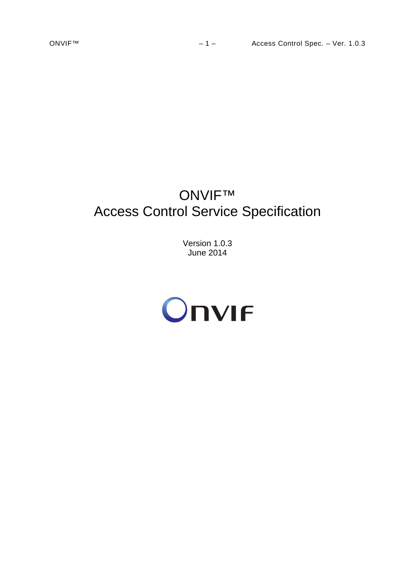# ONVIF™ Access Control Service Specification

Version 1.0.3 June 2014

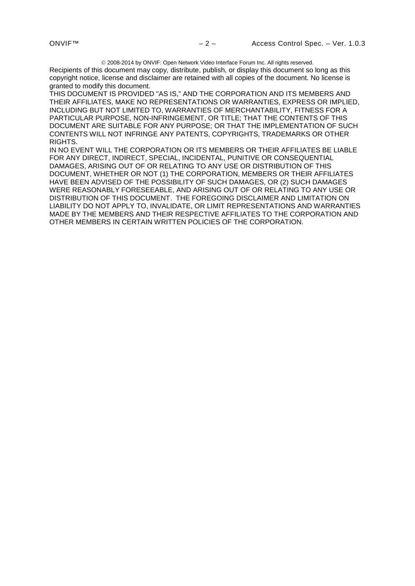2008-2014 by ONVIF: Open Network Video Interface Forum Inc. All rights reserved.

Recipients of this document may copy, distribute, publish, or display this document so long as this copyright notice, license and disclaimer are retained with all copies of the document. No license is granted to modify this document.

THIS DOCUMENT IS PROVIDED "AS IS," AND THE CORPORATION AND ITS MEMBERS AND THEIR AFFILIATES, MAKE NO REPRESENTATIONS OR WARRANTIES, EXPRESS OR IMPLIED, INCLUDING BUT NOT LIMITED TO, WARRANTIES OF MERCHANTABILITY, FITNESS FOR A PARTICULAR PURPOSE, NON-INFRINGEMENT, OR TITLE; THAT THE CONTENTS OF THIS DOCUMENT ARE SUITABLE FOR ANY PURPOSE; OR THAT THE IMPLEMENTATION OF SUCH CONTENTS WILL NOT INFRINGE ANY PATENTS, COPYRIGHTS, TRADEMARKS OR OTHER RIGHTS.

IN NO EVENT WILL THE CORPORATION OR ITS MEMBERS OR THEIR AFFILIATES BE LIABLE FOR ANY DIRECT, INDIRECT, SPECIAL, INCIDENTAL, PUNITIVE OR CONSEQUENTIAL DAMAGES, ARISING OUT OF OR RELATING TO ANY USE OR DISTRIBUTION OF THIS DOCUMENT, WHETHER OR NOT (1) THE CORPORATION, MEMBERS OR THEIR AFFILIATES HAVE BEEN ADVISED OF THE POSSIBILITY OF SUCH DAMAGES, OR (2) SUCH DAMAGES WERE REASONABLY FORESEEABLE, AND ARISING OUT OF OR RELATING TO ANY USE OR DISTRIBUTION OF THIS DOCUMENT. THE FOREGOING DISCLAIMER AND LIMITATION ON LIABILITY DO NOT APPLY TO, INVALIDATE, OR LIMIT REPRESENTATIONS AND WARRANTIES MADE BY THE MEMBERS AND THEIR RESPECTIVE AFFILIATES TO THE CORPORATION AND OTHER MEMBERS IN CERTAIN WRITTEN POLICIES OF THE CORPORATION.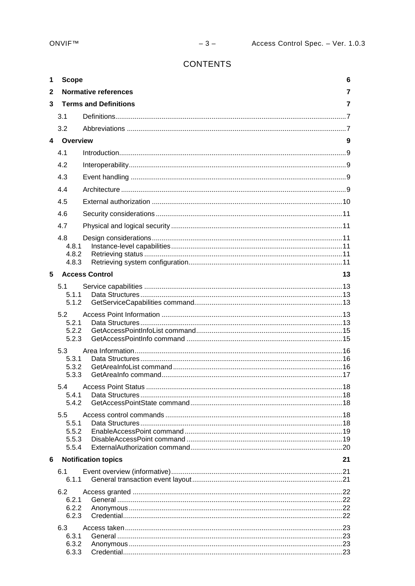# **CONTENTS**

| 1           | <b>Scope</b>    |                              | 6  |
|-------------|-----------------|------------------------------|----|
| 2           |                 | <b>Normative references</b>  | 7  |
| 3           |                 | <b>Terms and Definitions</b> | 7  |
|             | 3.1             |                              |    |
|             | 3.2             |                              |    |
| $\mathbf 4$ | <b>Overview</b> |                              | 9  |
|             | 4.1             |                              |    |
|             | 4.2             |                              |    |
|             | 4.3             |                              |    |
|             | 4.4             |                              |    |
|             | 4.5             |                              |    |
|             | 4.6             |                              |    |
|             | 4.7             |                              |    |
|             | 4.8             |                              |    |
|             | 4.8.1           |                              |    |
|             | 4.8.2<br>4.8.3  |                              |    |
| 5           |                 | <b>Access Control</b>        | 13 |
|             | 5.1             |                              |    |
|             | 5.1.1<br>5.1.2  |                              |    |
|             | 5.2             |                              |    |
|             | 5.2.1           |                              |    |
|             | 5.2.2<br>5.2.3  |                              |    |
|             | 5.3             |                              |    |
|             | 5.3.1           |                              |    |
|             | 5.3.2           |                              |    |
|             | 5.3.3           |                              |    |
|             | 5.4<br>5.4.1    |                              |    |
|             | 5.4.2           |                              |    |
|             | 5.5             |                              |    |
|             | 5.5.1<br>5.5.2  |                              |    |
|             | 5.5.3           |                              |    |
|             | 5.5.4           |                              |    |
| 6           |                 | <b>Notification topics</b>   | 21 |
|             | 6.1<br>6.1.1    |                              |    |
|             | 6.2             |                              |    |
|             | 6.2.1           |                              |    |
|             | 6.2.2           |                              |    |
|             | 6.2.3           |                              |    |
|             | 6.3<br>6.3.1    |                              |    |
|             | 6.3.2           |                              |    |
|             | 6.3.3           |                              |    |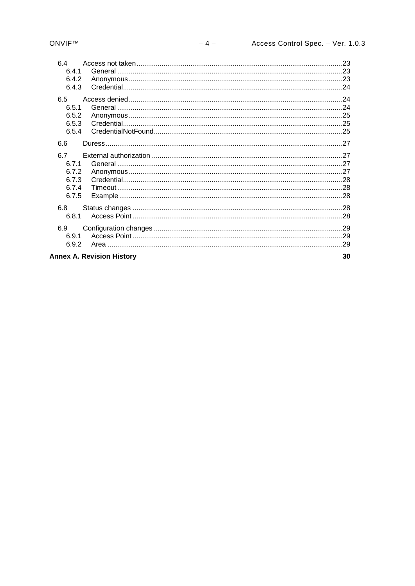| 64                               |    |
|----------------------------------|----|
| 6.4.1                            |    |
| 6.4.2                            |    |
| 6.4.3                            |    |
| 6.5                              |    |
| 6.5.1                            |    |
| 6.5.2                            |    |
| 6.5.3                            |    |
| 6.5.4                            |    |
| 6.6                              |    |
| 6.7                              |    |
| 671                              |    |
| 6.7.2                            |    |
| 6.7.3                            |    |
| 6.7.4                            |    |
| 6.7.5                            |    |
| 6.8                              |    |
| 6.8.1                            |    |
| 6.9                              |    |
| 6.9.1                            |    |
| 6.9.2                            |    |
| <b>Annex A. Revision History</b> | 30 |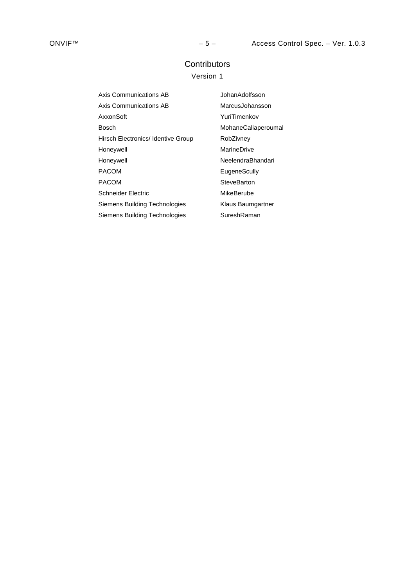# **Contributors**

# Version 1

| Axis Communications AB             | JohanAdolfsson      |
|------------------------------------|---------------------|
| Axis Communications AB             | MarcusJohansson     |
| AxxonSoft                          | YuriTimenkov        |
| Bosch                              | MohaneCaliaperoumal |
| Hirsch Electronics/ Identive Group | RobZivney           |
| Honeywell                          | MarineDrive         |
| Honeywell                          | NeelendraBhandari   |
| <b>PACOM</b>                       | EugeneScully        |
| <b>PACOM</b>                       | SteveBarton         |
| <b>Schneider Electric</b>          | MikeBerube          |
| Siemens Building Technologies      | Klaus Baumgartner   |
| Siemens Building Technologies      | SureshRaman         |
|                                    |                     |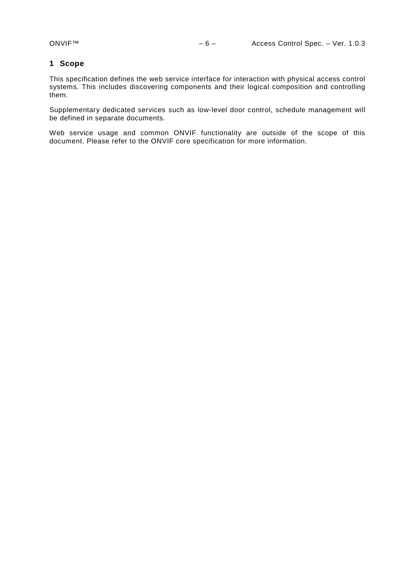# <span id="page-5-0"></span>**1 Scope**

This specification defines the web service interface for interaction with physical access control systems. This includes discovering components and their logical composition and controlling them.

Supplementary dedicated services such as low-level door control, schedule management will be defined in separate documents.

Web service usage and common ONVIF functionality are outside of the scope of this document. Please refer to the ONVIF core specification for more information.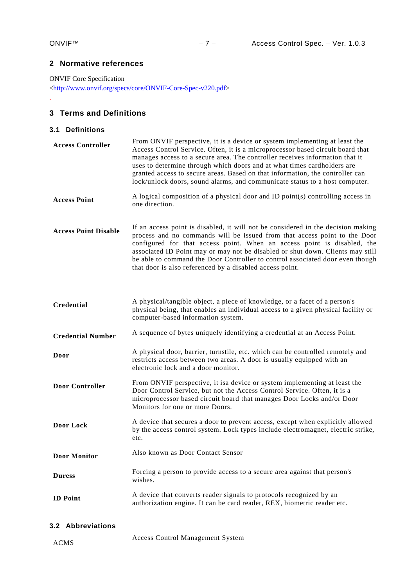.

# <span id="page-6-0"></span>**2 Normative references**

ONVIF Core Specification

[<http://www.onvif.org/specs/core/ONVIF-Core-Spec-v220.pdf>](http://www.onvif.org/specs/core/ONVIF-Core-Spec-v220.pdf)

# <span id="page-6-1"></span>**3 Terms and Definitions**

# <span id="page-6-2"></span>**3.1 Definitions**

| <b>Access Controller</b>    | From ONVIF perspective, it is a device or system implementing at least the<br>Access Control Service. Often, it is a microprocessor based circuit board that<br>manages access to a secure area. The controller receives information that it<br>uses to determine through which doors and at what times cardholders are<br>granted access to secure areas. Based on that information, the controller can<br>lock/unlock doors, sound alarms, and communicate status to a host computer. |  |  |  |
|-----------------------------|-----------------------------------------------------------------------------------------------------------------------------------------------------------------------------------------------------------------------------------------------------------------------------------------------------------------------------------------------------------------------------------------------------------------------------------------------------------------------------------------|--|--|--|
| <b>Access Point</b>         | A logical composition of a physical door and ID point(s) controlling access in<br>one direction.                                                                                                                                                                                                                                                                                                                                                                                        |  |  |  |
| <b>Access Point Disable</b> | If an access point is disabled, it will not be considered in the decision making<br>process and no commands will be issued from that access point to the Door<br>configured for that access point. When an access point is disabled, the<br>associated ID Point may or may not be disabled or shut down. Clients may still<br>be able to command the Door Controller to control associated door even though<br>that door is also referenced by a disabled access point.                 |  |  |  |
| Credential                  | A physical/tangible object, a piece of knowledge, or a facet of a person's<br>physical being, that enables an individual access to a given physical facility or<br>computer-based information system.                                                                                                                                                                                                                                                                                   |  |  |  |
| <b>Credential Number</b>    | A sequence of bytes uniquely identifying a credential at an Access Point.                                                                                                                                                                                                                                                                                                                                                                                                               |  |  |  |
| Door                        | A physical door, barrier, turnstile, etc. which can be controlled remotely and<br>restricts access between two areas. A door is usually equipped with an<br>electronic lock and a door monitor.                                                                                                                                                                                                                                                                                         |  |  |  |
| <b>Door Controller</b>      | From ONVIF perspective, it is a device or system implementing at least the<br>Door Control Service, but not the Access Control Service. Often, it is a<br>microprocessor based circuit board that manages Door Locks and/or Door<br>Monitors for one or more Doors.                                                                                                                                                                                                                     |  |  |  |
| Door Lock                   | A device that secures a door to prevent access, except when explicitly allowed<br>by the access control system. Lock types include electromagnet, electric strike,<br>etc.                                                                                                                                                                                                                                                                                                              |  |  |  |
| <b>Door Monitor</b>         | Also known as Door Contact Sensor                                                                                                                                                                                                                                                                                                                                                                                                                                                       |  |  |  |
| <b>Duress</b>               | Forcing a person to provide access to a secure area against that person's<br>wishes.                                                                                                                                                                                                                                                                                                                                                                                                    |  |  |  |
| <b>ID</b> Point             | A device that converts reader signals to protocols recognized by an<br>authorization engine. It can be card reader, REX, biometric reader etc.                                                                                                                                                                                                                                                                                                                                          |  |  |  |

# <span id="page-6-3"></span>**3.2 Abbreviations**

ACMS Access Control Management System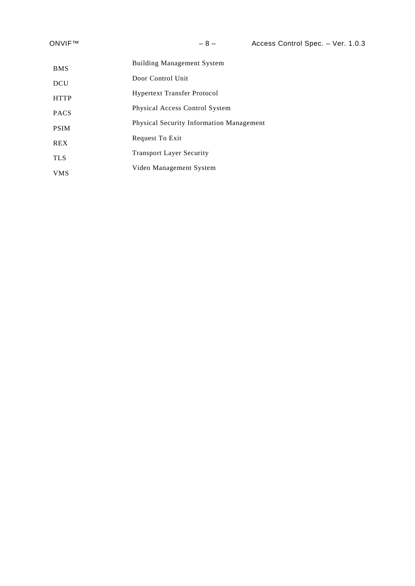| <b>BMS</b>  | <b>Building Management System</b>               |
|-------------|-------------------------------------------------|
| <b>DCU</b>  | Door Control Unit                               |
| <b>HTTP</b> | <b>Hypertext Transfer Protocol</b>              |
| <b>PACS</b> | Physical Access Control System                  |
| <b>PSIM</b> | <b>Physical Security Information Management</b> |
| <b>REX</b>  | Request To Exit                                 |
|             | <b>Transport Layer Security</b>                 |
| <b>TLS</b>  | Video Management System                         |
| <b>VMS</b>  |                                                 |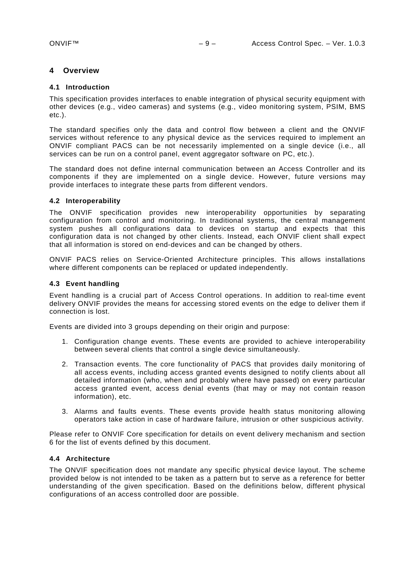# <span id="page-8-0"></span>**4 Overview**

# <span id="page-8-1"></span>**4.1 Introduction**

This specification provides interfaces to enable integration of physical security equipment with other devices (e.g., video cameras) and systems (e.g., video monitoring system, PSIM, BMS etc.).

The standard specifies only the data and control flow between a client and the ONVIF services without reference to any physical device as the services required to implement an ONVIF compliant PACS can be not necessarily implemented on a single device (i.e., all services can be run on a control panel, event aggregator software on PC, etc.).

The standard does not define internal communication between an Access Controller and its components if they are implemented on a single device. However, future versions may provide interfaces to integrate these parts from different vendors.

#### <span id="page-8-2"></span>**4.2 Interoperability**

The ONVIF specification provides new interoperability opportunities by separating configuration from control and monitoring. In traditional systems, the central management system pushes all configurations data to devices on startup and expects that this configuration data is not changed by other clients. Instead, each ONVIF client shall expect that all information is stored on end-devices and can be changed by others.

ONVIF PACS relies on Service-Oriented Architecture principles. This allows installations where different components can be replaced or updated independently.

# <span id="page-8-3"></span>**4.3 Event handling**

Event handling is a crucial part of Access Control operations. In addition to real-time event delivery ONVIF provides the means for accessing stored events on the edge to deliver them if connection is lost.

Events are divided into 3 groups depending on their origin and purpose:

- 1. Configuration change events. These events are provided to achieve interoperability between several clients that control a single device simultaneously.
- 2. Transaction events. The core functionality of PACS that provides daily monitoring of all access events, including access granted events designed to notify clients about all detailed information (who, when and probably where have passed) on every particular access granted event, access denial events (that may or may not contain reason information), etc.
- 3. Alarms and faults events. These events provide health status monitoring allowing operators take action in case of hardware failure, intrusion or other suspicious activity.

Please refer to ONVIF Core specification for details on event delivery mechanism and section 6 for the list of events defined by this document.

#### <span id="page-8-4"></span>**4.4 Architecture**

The ONVIF specification does not mandate any specific physical device layout. The scheme provided below is not intended to be taken as a pattern but to serve as a reference for better understanding of the given specification. Based on the definitions below, different physical configurations of an access controlled door are possible.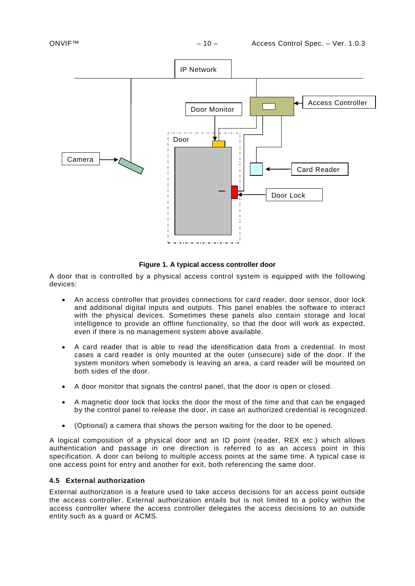

# **Figure 1. A typical access controller door**

A door that is controlled by a physical access control system is equipped with the following devices:

- An access controller that provides connections for card reader, door sensor, door lock and additional digital inputs and outputs. This panel enables the software to interact with the physical devices. Sometimes these panels also contain storage and local intelligence to provide an offline functionality, so that the door will work as expected, even if there is no management system above available.
- A card reader that is able to read the identification data from a credential. In most cases a card reader is only mounted at the outer (unsecure) side of the door. If the system monitors when somebody is leaving an area, a card reader will be mounted on both sides of the door.
- A door monitor that signals the control panel, that the door is open or closed.
- A magnetic door lock that locks the door the most of the time and that can be engaged by the control panel to release the door, in case an authorized credential is recognized.
- (Optional) a camera that shows the person waiting for the door to be opened.

A logical composition of a physical door and an ID point (reader, REX etc.) which allows authentication and passage in one direction is referred to as an access point in this specification. A door can belong to multiple access points at the same time. A typical case is one access point for entry and another for exit, both referencing the same door.

# <span id="page-9-0"></span>**4.5 External authorization**

External authorization is a feature used to take access decisions for an access point outside the access controller. External authorization entails but is not limited to a policy within the access controller where the access controller delegates the access decisions to an outside entity such as a guard or ACMS.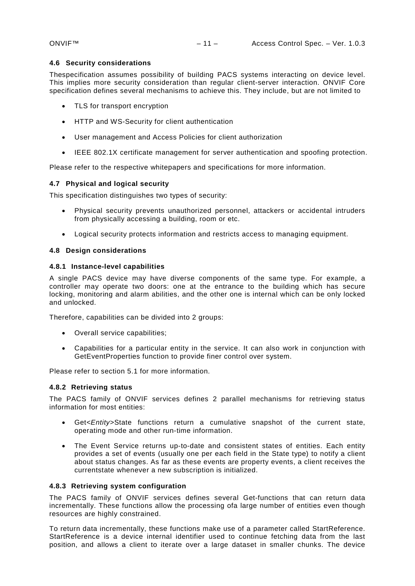#### <span id="page-10-0"></span>**4.6 Security considerations**

Thespecification assumes possibility of building PACS systems interacting on device level. This implies more security consideration than regular client-server interaction. ONVIF Core specification defines several mechanisms to achieve this. They include, but are not limited to

- TLS for transport encryption
- HTTP and WS-Security for client authentication
- User management and Access Policies for client authorization
- IEEE 802.1X certificate management for server authentication and spoofing protection.

Please refer to the respective whitepapers and specifications for more information.

#### <span id="page-10-1"></span>**4.7 Physical and logical security**

This specification distinguishes two types of security:

- Physical security prevents unauthorized personnel, attackers or accidental intruders from physically accessing a building, room or etc.
- Logical security protects information and restricts access to managing equipment.

#### <span id="page-10-2"></span>**4.8 Design considerations**

#### <span id="page-10-3"></span>**4.8.1 Instance-level capabilities**

A single PACS device may have diverse components of the same type. For example, a controller may operate two doors: one at the entrance to the building which has secure locking, monitoring and alarm abilities, and the other one is internal which can be only locked and unlocked.

Therefore, capabilities can be divided into 2 groups:

- Overall service capabilities;
- Capabilities for a particular entity in the service. It can also work in conjunction with GetEventProperties function to provide finer control over system.

Please refer to section [5.1](#page-12-1) for more information.

## <span id="page-10-4"></span>**4.8.2 Retrieving status**

The PACS family of ONVIF services defines 2 parallel mechanisms for retrieving status information for most entities:

- Get*<Entity>*State functions return a cumulative snapshot of the current state, operating mode and other run-time information.
- The Event Service returns up-to-date and consistent states of entities. Each entity provides a set of events (usually one per each field in the State type) to notify a client about status changes. As far as these events are property events, a client receives the currentstate whenever a new subscription is initialized.

#### <span id="page-10-5"></span>**4.8.3 Retrieving system configuration**

The PACS family of ONVIF services defines several Get-functions that can return data incrementally. These functions allow the processing ofa large number of entities even though resources are highly constrained.

To return data incrementally, these functions make use of a parameter called StartReference. StartReference is a device internal identifier used to continue fetching data from the last position, and allows a client to iterate over a large dataset in smaller chunks. The device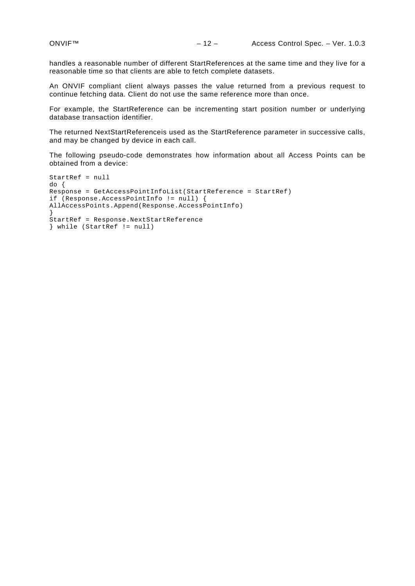handles a reasonable number of different StartReferences at the same time and they live for a reasonable time so that clients are able to fetch complete datasets.

An ONVIF compliant client always passes the value returned from a previous request to continue fetching data. Client do not use the same reference more than once.

For example, the StartReference can be incrementing start position number or underlying database transaction identifier.

The returned NextStartReferenceis used as the StartReference parameter in successive calls, and may be changed by device in each call.

The following pseudo-code demonstrates how information about all Access Points can be obtained from a device:

```
StartRef = null
do {
Response = GetAccessPointInfoList(StartReference = StartRef)
if (Response.AccessPointInfo != null) {
AllAccessPoints.Append(Response.AccessPointInfo)
}
StartRef = Response.NextStartReference
} while (StartRef != null)
```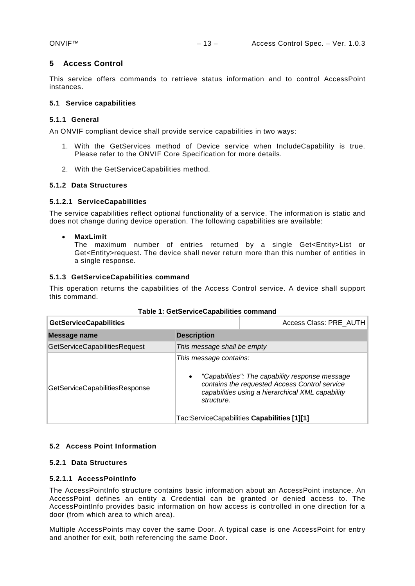# <span id="page-12-0"></span>**5 Access Control**

This service offers commands to retrieve status information and to control AccessPoint instances.

# <span id="page-12-1"></span>**5.1 Service capabilities**

# **5.1.1 General**

An ONVIF compliant device shall provide service capabilities in two ways:

- 1. With the GetServices method of Device service when IncludeCapability is true. Please refer to the ONVIF Core Specification for more details.
- 2. With the GetServiceCapabilities method.

# <span id="page-12-2"></span>**5.1.2 Data Structures**

# **5.1.2.1 ServiceCapabilities**

The service capabilities reflect optional functionality of a service. The information is static and does not change during device operation. The following capabilities are available:

• **MaxLimit**

The maximum number of entries returned by a single Get<Entity>List or Get<Entity>request. The device shall never return more than this number of entities in a single response.

# <span id="page-12-3"></span>**5.1.3 GetServiceCapabilities command**

This operation returns the capabilities of the Access Control service. A device shall support this command.

| <b>GetServiceCapabilities</b>                                                       | Access Class: PRE AUTH      |                                                                                                                                                                                                     |
|-------------------------------------------------------------------------------------|-----------------------------|-----------------------------------------------------------------------------------------------------------------------------------------------------------------------------------------------------|
| Message name                                                                        | <b>Description</b>          |                                                                                                                                                                                                     |
| GetServiceCapabilitiesRequest                                                       | This message shall be empty |                                                                                                                                                                                                     |
| This message contains:<br>$\bullet$<br>GetServiceCapabilitiesResponse<br>structure. |                             | "Capabilities": The capability response message<br>contains the requested Access Control service<br>capabilities using a hierarchical XML capability<br>Tac:ServiceCapabilities Capabilities [1][1] |

#### **Table 1: GetServiceCapabilities command**

#### <span id="page-12-4"></span>**5.2 Access Point Information**

# <span id="page-12-5"></span>**5.2.1 Data Structures**

#### **5.2.1.1 AccessPointInfo**

The AccessPointInfo structure contains basic information about an AccessPoint instance. An AccessPoint defines an entity a Credential can be granted or denied access to. The AccessPointInfo provides basic information on how access is controlled in one direction for a door (from which area to which area).

Multiple AccessPoints may cover the same Door. A typical case is one AccessPoint for entry and another for exit, both referencing the same Door.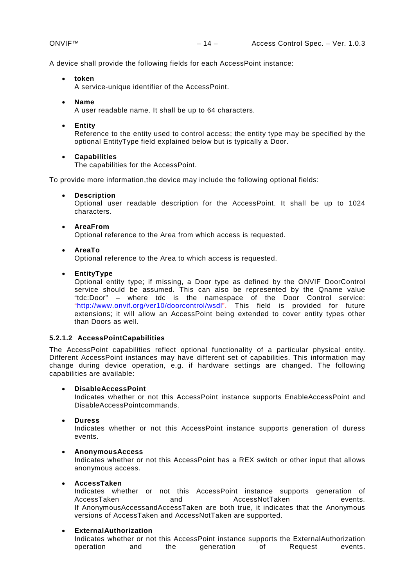A device shall provide the following fields for each AccessPoint instance:

• **token**

A service-unique identifier of the AccessPoint.

• **Name**

A user readable name. It shall be up to 64 characters.

• **Entity**

Reference to the entity used to control access; the entity type may be specified by the optional EntityType field explained below but is typically a Door.

• **Capabilities**

The capabilities for the AccessPoint.

To provide more information,the device may include the following optional fields:

• **Description**

Optional user readable description for the AccessPoint. It shall be up to 1024 characters.

• **AreaFrom**

Optional reference to the Area from which access is requested.

• **AreaTo**

Optional reference to the Area to which access is requested.

• **EntityType**

Optional entity type; if missing, a Door type as defined by the ONVIF DoorControl service should be assumed. This can also be represented by the Qname value "tdc:Door" – where tdc is the namespace of the Door Control service: ["http://www.onvif.org/ver10/doorcontrol/wsdl"](http://www.onvif.org/ver10/doorcontrol/wsdl). This field is provided for future extensions; it will allow an AccessPoint being extended to cover entity types other than Doors as well.

# **5.2.1.2 AccessPointCapabilities**

The AccessPoint capabilities reflect optional functionality of a particular physical entity. Different AccessPoint instances may have different set of capabilities. This information may change during device operation, e.g. if hardware settings are changed. The following capabilities are available:

#### • **DisableAccessPoint**

Indicates whether or not this AccessPoint instance supports EnableAccessPoint and DisableAccessPointcommands.

• **Duress**

Indicates whether or not this AccessPoint instance supports generation of duress events.

#### • **AnonymousAccess**

Indicates whether or not this AccessPoint has a REX switch or other input that allows anonymous access.

#### • **AccessTaken**

Indicates whether or not this AccessPoint instance supports generation of AccessTaken and AccessNotTaken events. If AnonymousAccessandAccessTaken are both true, it indicates that the Anonymous versions of AccessTaken and AccessNotTaken are supported.

#### • **ExternalAuthorization**

Indicates whether or not this AccessPoint instance supports the ExternalAuthorization operation and the generation of Request events.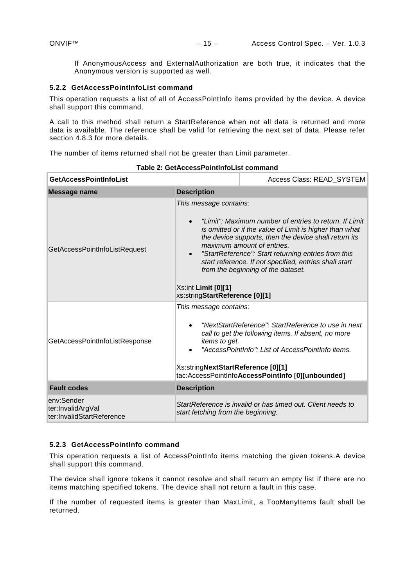If AnonymousAccess and ExternalAuthorization are both true, it indicates that the Anonymous version is supported as well.

#### <span id="page-14-0"></span>**5.2.2 GetAccessPointInfoList command**

This operation requests a list of all of AccessPointInfo items provided by the device. A device shall support this command.

A call to this method shall return a StartReference when not all data is returned and more data is available. The reference shall be valid for retrieving the next set of data. Please refer section 4.8.3 for more details.

The number of items returned shall not be greater than Limit parameter.

| <b>GetAccessPointInfoList</b>                                                    | Access Class: READ_SYSTEM                                                                                                                                                                                                                                                                                                                                                                                                                                                    |                                                                                                                                                                                                                                                            |  |
|----------------------------------------------------------------------------------|------------------------------------------------------------------------------------------------------------------------------------------------------------------------------------------------------------------------------------------------------------------------------------------------------------------------------------------------------------------------------------------------------------------------------------------------------------------------------|------------------------------------------------------------------------------------------------------------------------------------------------------------------------------------------------------------------------------------------------------------|--|
| <b>Message name</b>                                                              | <b>Description</b>                                                                                                                                                                                                                                                                                                                                                                                                                                                           |                                                                                                                                                                                                                                                            |  |
| GetAccessPointInfoListRequest                                                    | This message contains:<br>"Limit": Maximum number of entries to return. If Limit<br>$\bullet$<br>is omitted or if the value of Limit is higher than what<br>the device supports, then the device shall return its<br>maximum amount of entries.<br>"StartReference": Start returning entries from this<br>$\bullet$<br>start reference. If not specified, entries shall start<br>from the beginning of the dataset.<br>Xs:int Limit [0][1]<br>xs:stringStartReference [0][1] |                                                                                                                                                                                                                                                            |  |
| This message contains:<br>GetAccessPointInfoListResponse<br><i>items to get.</i> |                                                                                                                                                                                                                                                                                                                                                                                                                                                                              | "NextStartReference": StartReference to use in next<br>call to get the following items. If absent, no more<br>"AccessPointInfo": List of AccessPointInfo items.<br>Xs:stringNextStartReference [0][1]<br>tac:AccessPointInfoAccessPointInfo [0][unbounded] |  |
| <b>Fault codes</b>                                                               | <b>Description</b>                                                                                                                                                                                                                                                                                                                                                                                                                                                           |                                                                                                                                                                                                                                                            |  |
| env:Sender<br>ter:InvalidArgVal<br>ter:InvalidStartReference                     | start fetching from the beginning.                                                                                                                                                                                                                                                                                                                                                                                                                                           | StartReference is invalid or has timed out. Client needs to                                                                                                                                                                                                |  |

**Table 2: GetAccessPointInfoList command**

# <span id="page-14-1"></span>**5.2.3 GetAccessPointInfo command**

This operation requests a list of AccessPointInfo items matching the given tokens.A device shall support this command.

The device shall ignore tokens it cannot resolve and shall return an empty list if there are no items matching specified tokens. The device shall not return a fault in this case.

If the number of requested items is greater than MaxLimit, a TooManyItems fault shall be returned.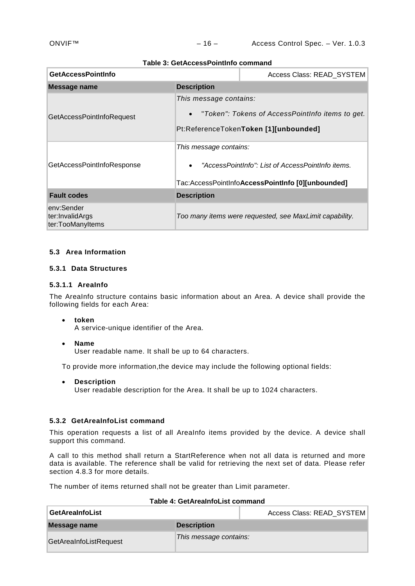#### **Table 3: GetAccessPointInfo command**

| <b>GetAccessPointInfo</b>                         |                                                                                                                                               | Access Class: READ_SYSTEM                               |
|---------------------------------------------------|-----------------------------------------------------------------------------------------------------------------------------------------------|---------------------------------------------------------|
| <b>Message name</b>                               | <b>Description</b>                                                                                                                            |                                                         |
| GetAccessPointInfoRequest                         | This message contains:<br>• "Token": Tokens of AccessPointInfo items to get.<br>Pt:ReferenceTokenToken [1][unbounded]                         |                                                         |
| GetAccessPointInfoResponse                        | This message contains:<br>"AccessPointInfo": List of AccessPointInfo items.<br>$\bullet$<br>Tac:AccessPointInfoAccessPointInfo [0][unbounded] |                                                         |
| <b>Fault codes</b>                                | <b>Description</b>                                                                                                                            |                                                         |
| env:Sender<br>ter:InvalidArgs<br>ter:TooManyItems |                                                                                                                                               | Too many items were requested, see MaxLimit capability. |

# <span id="page-15-0"></span>**5.3 Area Information**

# <span id="page-15-1"></span>**5.3.1 Data Structures**

# **5.3.1.1 AreaInfo**

The AreaInfo structure contains basic information about an Area. A device shall provide the following fields for each Area:

#### • **token**

A service-unique identifier of the Area.

• **Name** User readable name. It shall be up to 64 characters.

To provide more information,the device may include the following optional fields:

• **Description** User readable description for the Area. It shall be up to 1024 characters.

# <span id="page-15-2"></span>**5.3.2 GetAreaInfoList command**

This operation requests a list of all AreaInfo items provided by the device. A device shall support this command.

A call to this method shall return a StartReference when not all data is returned and more data is available. The reference shall be valid for retrieving the next set of data. Please refer section 4.8.3 for more details.

The number of items returned shall not be greater than Limit parameter.

| <b>GetAreaInfoList</b> |                        | Access Class: READ SYSTEM |
|------------------------|------------------------|---------------------------|
| Message name           | <b>Description</b>     |                           |
| GetAreaInfoListRequest | This message contains: |                           |

#### **Table 4: GetAreaInfoList command**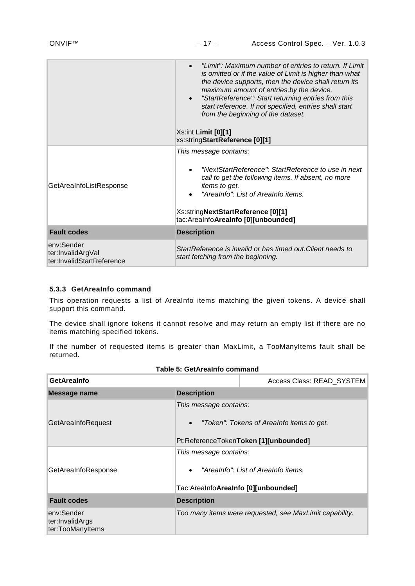|                                                              | "Limit": Maximum number of entries to return. If Limit<br>$\bullet$<br>is omitted or if the value of Limit is higher than what<br>the device supports, then the device shall return its<br>maximum amount of entries.by the device.<br>"StartReference": Start returning entries from this<br>$\bullet$<br>start reference. If not specified, entries shall start<br>from the beginning of the dataset.<br>$Xs:int$ Limit $[0][1]$<br>xs:stringStartReference [0][1] |  |  |
|--------------------------------------------------------------|----------------------------------------------------------------------------------------------------------------------------------------------------------------------------------------------------------------------------------------------------------------------------------------------------------------------------------------------------------------------------------------------------------------------------------------------------------------------|--|--|
| GetAreaInfoListResponse                                      | This message contains:<br>"NextStartReference": StartReference to use in next<br>call to get the following items. If absent, no more<br>items to get.<br>"Arealnfo": List of Arealnfo items.<br>Xs:stringNextStartReference [0][1]<br>tac:AreaInfoAreaInfo [0][unbounded]                                                                                                                                                                                            |  |  |
| <b>Fault codes</b>                                           | <b>Description</b>                                                                                                                                                                                                                                                                                                                                                                                                                                                   |  |  |
| env:Sender<br>ter:InvalidArgVal<br>ter:InvalidStartReference | StartReference is invalid or has timed out Client needs to<br>start fetching from the beginning.                                                                                                                                                                                                                                                                                                                                                                     |  |  |

# <span id="page-16-0"></span>**5.3.3 GetAreaInfo command**

This operation requests a list of AreaInfo items matching the given tokens. A device shall support this command.

The device shall ignore tokens it cannot resolve and may return an empty list if there are no items matching specified tokens.

If the number of requested items is greater than MaxLimit, a TooManyItems fault shall be returned.

| <b>GetArealnfo</b>                                |                                                                                                                           | Access Class: READ_SYSTEM                               |  |  |
|---------------------------------------------------|---------------------------------------------------------------------------------------------------------------------------|---------------------------------------------------------|--|--|
| Message name                                      | <b>Description</b>                                                                                                        |                                                         |  |  |
| GetAreaInfoRequest                                | This message contains:<br>"Token": Tokens of Arealnfo items to get.<br>$\bullet$<br>Pt:ReferenceTokenToken [1][unbounded] |                                                         |  |  |
| GetAreaInfoResponse                               | This message contains:<br>"Arealnfo": List of Arealnfo items.<br>$\bullet$<br>Tac:AreaInfoAreaInfo [0][unbounded]         |                                                         |  |  |
| <b>Fault codes</b>                                | <b>Description</b>                                                                                                        |                                                         |  |  |
| env:Sender<br>ter:InvalidArgs<br>ter:TooManyItems |                                                                                                                           | Too many items were requested, see MaxLimit capability. |  |  |

# **Table 5: GetAreaInfo command**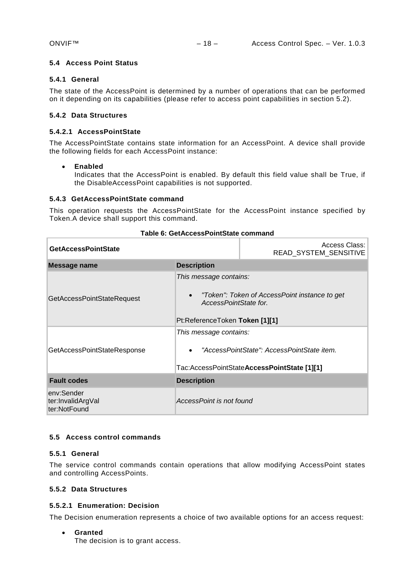# <span id="page-17-0"></span>**5.4 Access Point Status**

# **5.4.1 General**

The state of the AccessPoint is determined by a number of operations that can be performed on it depending on its capabilities (please refer to access point capabilities in section 5.2).

# <span id="page-17-1"></span>**5.4.2 Data Structures**

### **5.4.2.1 AccessPointState**

The AccessPointState contains state information for an AccessPoint. A device shall provide the following fields for each AccessPoint instance:

#### • **Enabled**

Indicates that the AccessPoint is enabled. By default this field value shall be True, if the DisableAccessPoint capabilities is not supported.

#### <span id="page-17-2"></span>**5.4.3 GetAccessPointState command**

This operation requests the AccessPointState for the AccessPoint instance specified by Token.A device shall support this command.

| <b>GetAccessPointState</b>                      | Access Class:<br>READ_SYSTEM_SENSITIVE                                                                                             |  |
|-------------------------------------------------|------------------------------------------------------------------------------------------------------------------------------------|--|
| Message name                                    | <b>Description</b>                                                                                                                 |  |
| <b>GetAccessPointStateRequest</b>               | This message contains:<br>"Token": Token of AccessPoint instance to get<br>AccessPointState for.<br>Pt:ReferenceToken Token [1][1] |  |
| GetAccessPointStateResponse                     | This message contains:<br>"AccessPointState": AccessPointState item.<br>Tac:AccessPointStateAccessPointState [1][1]                |  |
| <b>Fault codes</b>                              | <b>Description</b>                                                                                                                 |  |
| env:Sender<br>ter:InvalidArgVal<br>ter:NotFound | AccessPoint is not found                                                                                                           |  |

#### **Table 6: GetAccessPointState command**

#### <span id="page-17-3"></span>**5.5 Access control commands**

# **5.5.1 General**

The service control commands contain operations that allow modifying AccessPoint states and controlling AccessPoints.

# <span id="page-17-4"></span>**5.5.2 Data Structures**

#### **5.5.2.1 Enumeration: Decision**

The Decision enumeration represents a choice of two available options for an access request:

#### • **Granted**

The decision is to grant access.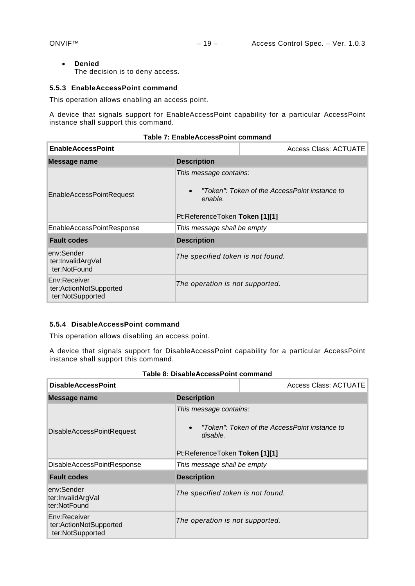#### • **Denied**

The decision is to deny access.

# <span id="page-18-0"></span>**5.5.3 EnableAccessPoint command**

This operation allows enabling an access point.

A device that signals support for EnableAccessPoint capability for a particular AccessPoint instance shall support this command.

| <b>EnableAccessPoint</b>                                   |                                                                                  | <b>Access Class: ACTUATE</b>                  |
|------------------------------------------------------------|----------------------------------------------------------------------------------|-----------------------------------------------|
| Message name                                               | <b>Description</b>                                                               |                                               |
| <b>EnableAccessPointRequest</b>                            | This message contains:<br>$\bullet$<br>enable.<br>Pt:ReferenceToken Token [1][1] | "Token": Token of the AccessPoint instance to |
| EnableAccessPointResponse                                  | This message shall be empty                                                      |                                               |
| <b>Fault codes</b>                                         | <b>Description</b>                                                               |                                               |
| env:Sender<br>ter:InvalidArgVal<br>ter:NotFound            | The specified token is not found.                                                |                                               |
| Env:Receiver<br>ter:ActionNotSupported<br>ter:NotSupported | The operation is not supported.                                                  |                                               |

### **Table 7: EnableAccessPoint command**

#### <span id="page-18-1"></span>**5.5.4 DisableAccessPoint command**

This operation allows disabling an access point.

A device that signals support for DisableAccessPoint capability for a particular AccessPoint instance shall support this command.

| Table 8: DisableAccessPoint command                        |                                                                                                                                    |                              |  |  |
|------------------------------------------------------------|------------------------------------------------------------------------------------------------------------------------------------|------------------------------|--|--|
| <b>DisableAccessPoint</b>                                  |                                                                                                                                    | <b>Access Class: ACTUATE</b> |  |  |
| <b>Description</b><br>Message name                         |                                                                                                                                    |                              |  |  |
| DisableAccessPointRequest                                  | This message contains:<br>"Token": Token of the AccessPoint instance to<br>$\bullet$<br>disable.<br>Pt:ReferenceToken Token [1][1] |                              |  |  |
| <b>DisableAccessPointResponse</b>                          | This message shall be empty                                                                                                        |                              |  |  |
| <b>Fault codes</b>                                         | <b>Description</b>                                                                                                                 |                              |  |  |
| env:Sender<br>ter:InvalidArgVal<br>ter:NotFound            | The specified token is not found.                                                                                                  |                              |  |  |
| Env:Receiver<br>ter:ActionNotSupported<br>ter:NotSupported | The operation is not supported.                                                                                                    |                              |  |  |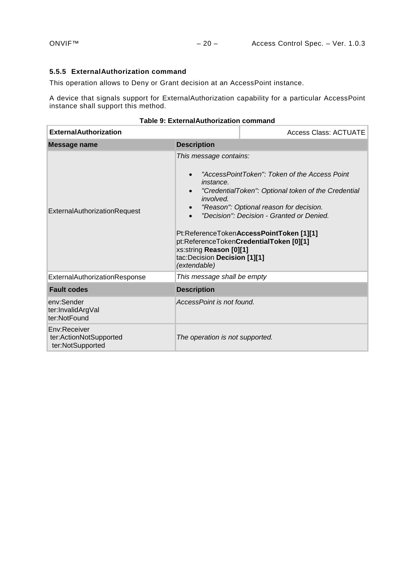# <span id="page-19-0"></span>**5.5.5 ExternalAuthorization command**

This operation allows to Deny or Grant decision at an AccessPoint instance.

A device that signals support for ExternalAuthorization capability for a particular AccessPoint instance shall support this method.

| <b>ExternalAuthorization</b>                               |                                                                                                                                                                                  | <b>Access Class: ACTUATE</b>                                                                                                                                                                                                                                                        |
|------------------------------------------------------------|----------------------------------------------------------------------------------------------------------------------------------------------------------------------------------|-------------------------------------------------------------------------------------------------------------------------------------------------------------------------------------------------------------------------------------------------------------------------------------|
| <b>Message name</b>                                        | <b>Description</b>                                                                                                                                                               |                                                                                                                                                                                                                                                                                     |
| ExternalAuthorizationRequest                               | This message contains:<br>$\bullet$<br><i>instance.</i><br>$\bullet$<br><i>involved.</i><br>$\bullet$<br>xs:string Reason [0][1]<br>tac:Decision Decision [1][1]<br>(extendable) | "AccessPointToken": Token of the Access Point<br>"CredentialToken": Optional token of the Credential<br>"Reason": Optional reason for decision.<br>"Decision": Decision - Granted or Denied.<br>Pt:ReferenceTokenAccessPointToken [1][1]<br>pt:ReferenceTokenCredentialToken [0][1] |
| ExternalAuthorizationResponse                              | This message shall be empty                                                                                                                                                      |                                                                                                                                                                                                                                                                                     |
| <b>Fault codes</b>                                         | <b>Description</b>                                                                                                                                                               |                                                                                                                                                                                                                                                                                     |
| env:Sender<br>ter:InvalidArgVal<br>ter:NotFound            | AccessPoint is not found.                                                                                                                                                        |                                                                                                                                                                                                                                                                                     |
| Env:Receiver<br>ter:ActionNotSupported<br>ter:NotSupported | The operation is not supported.                                                                                                                                                  |                                                                                                                                                                                                                                                                                     |

| Table 9: ExternalAuthorization command |  |
|----------------------------------------|--|
|----------------------------------------|--|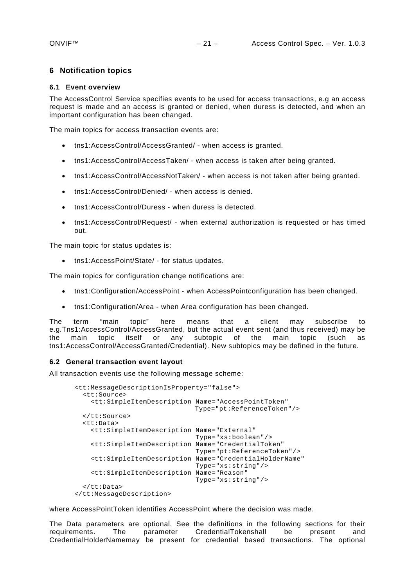# <span id="page-20-0"></span>**6 Notification topics**

### <span id="page-20-1"></span>**6.1 Event overview**

The AccessControl Service specifies events to be used for access transactions, e.g an access request is made and an access is granted or denied, when duress is detected, and when an important configuration has been changed.

The main topics for access transaction events are:

- tns1:AccessControl/AccessGranted/ when access is granted.
- tns1:AccessControl/AccessTaken/ when access is taken after being granted.
- tns1:AccessControl/AccessNotTaken/ when access is not taken after being granted.
- tns1:AccessControl/Denied/ when access is denied.
- tns1:AccessControl/Duress when duress is detected.
- tns1:AccessControl/Request/ when external authorization is requested or has timed out.

The main topic for status updates is:

• tns1:AccessPoint/State/ - for status updates.

The main topics for configuration change notifications are:

- tns1:Configuration/AccessPoint when AccessPointconfiguration has been changed.
- tns1:Configuration/Area when Area configuration has been changed.

The term "main topic" here means that a client may subscribe to e.g.Tns1:AccessControl/AccessGranted, but the actual event sent (and thus received) may be the main topic itself or any subtopic of the main topic (such as tns1:AccessControl/AccessGranted/Credential). New subtopics may be defined in the future.

# <span id="page-20-2"></span>**6.2 General transaction event layout**

All transaction events use the following message scheme:

```
<tt:MessageDescriptionIsProperty="false">
   <tt:Source>
     <tt:SimpleItemDescription Name="AccessPointToken"
                                Type="pt:ReferenceToken"/>
   </tt:Source>
   <tt:Data>
     <tt:SimpleItemDescription Name="External"
                                Type="xs:boolean"/>
     <tt:SimpleItemDescription Name="CredentialToken"
                                Type="pt:ReferenceToken"/>
     <tt:SimpleItemDescription Name="CredentialHolderName"
                                Type="xs:string"/>
     <tt:SimpleItemDescription Name="Reason"
                                Type="xs:string"/>
  \zeta/tt:Data>
</tt:MessageDescription>
```
where AccessPointToken identifies AccessPoint where the decision was made.

The Data parameters are optional. See the definitions in the following sections for their<br>requirements. The parameter CredentialTokenshall be present and requirements. The parameter CredentialTokenshall be present and CredentialHolderNamemay be present for credential based transactions. The optional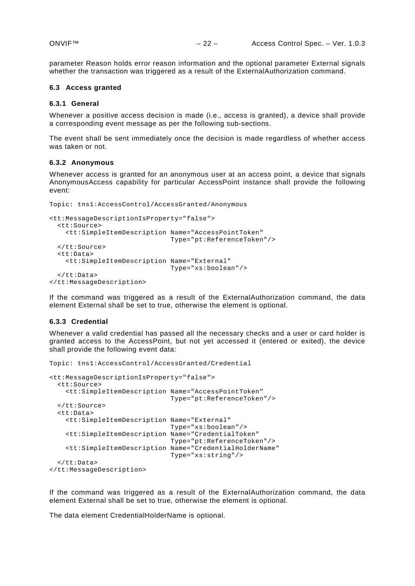parameter Reason holds error reason information and the optional parameter External signals whether the transaction was triggered as a result of the ExternalAuthorization command.

# <span id="page-21-0"></span>**6.3 Access granted**

#### <span id="page-21-1"></span>**6.3.1 General**

Whenever a positive access decision is made (i.e., access is granted), a device shall provide a corresponding event message as per the following sub-sections.

The event shall be sent immediately once the decision is made regardless of whether access was taken or not.

#### <span id="page-21-2"></span>**6.3.2 Anonymous**

Whenever access is granted for an anonymous user at an access point, a device that signals AnonymousAccess capability for particular AccessPoint instance shall provide the following event:

```
Topic: tns1:AccessControl/AccessGranted/Anonymous
<tt:MessageDescriptionIsProperty="false">
   <tt:Source>
     <tt:SimpleItemDescription Name="AccessPointToken"
                                Type="pt:ReferenceToken"/>
   </tt:Source>
   <tt:Data>
     <tt:SimpleItemDescription Name="External"
                               Type="xs:boolean"/>
   </tt:Data>
</tt:MessageDescription>
```
If the command was triggered as a result of the ExternalAuthorization command, the data element External shall be set to true, otherwise the element is optional.

#### <span id="page-21-3"></span>**6.3.3 Credential**

Whenever a valid credential has passed all the necessary checks and a user or card holder is granted access to the AccessPoint, but not yet accessed it (entered or exited), the device shall provide the following event data:

```
Topic: tns1:AccessControl/AccessGranted/Credential
<tt:MessageDescriptionIsProperty="false">
   <tt:Source>
     <tt:SimpleItemDescription Name="AccessPointToken"
                                Type="pt:ReferenceToken"/>
   </tt:Source>
   <tt:Data>
     <tt:SimpleItemDescription Name="External"
                                Type="xs:boolean"/>
     <tt:SimpleItemDescription Name="CredentialToken"
                                Type="pt:ReferenceToken"/>
     <tt:SimpleItemDescription Name="CredentialHolderName"
                                Type="xs:string"/>
   </tt:Data>
</tt:MessageDescription>
```
If the command was triggered as a result of the ExternalAuthorization command, the data element External shall be set to true, otherwise the element is optional.

The data element CredentialHolderName is optional.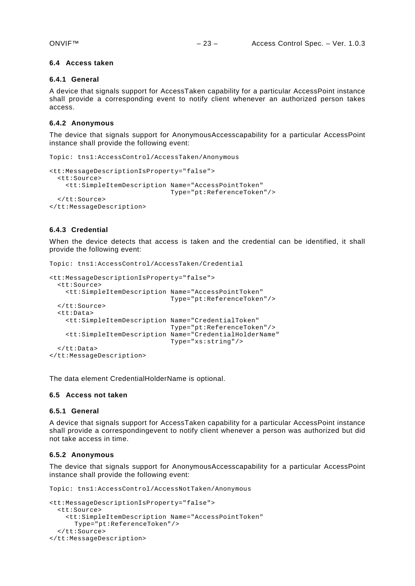#### <span id="page-22-0"></span>**6.4 Access taken**

### <span id="page-22-1"></span>**6.4.1 General**

A device that signals support for AccessTaken capability for a particular AccessPoint instance shall provide a corresponding event to notify client whenever an authorized person takes access.

# <span id="page-22-2"></span>**6.4.2 Anonymous**

The device that signals support for AnonymousAccesscapability for a particular AccessPoint instance shall provide the following event:

```
Topic: tns1:AccessControl/AccessTaken/Anonymous
```
Topic: tns1:AccessControl/AccessTaken/Credential

```
<tt:MessageDescriptionIsProperty="false">
  <tt:Source>
    <tt:SimpleItemDescription Name="AccessPointToken"
                               Type="pt:ReferenceToken"/>
  </tt:Source>
</tt:MessageDescription>
```
# <span id="page-22-3"></span>**6.4.3 Credential**

When the device detects that access is taken and the credential can be identified, it shall provide the following event:

```
<tt:MessageDescriptionIsProperty="false">
  <tt:Source>
    <tt:SimpleItemDescription Name="AccessPointToken"
                             Type="pt:ReferenceToken"/>
  </tt:Source>
  <tt:Data>
    <tt:SimpleItemDescription Name="CredentialToken"
 Type="pt:ReferenceToken"/>
 <tt:SimpleItemDescription Name="CredentialHolderName"
                            Type="xs:string"/>
  </tt:Data>
</tt:MessageDescription>
```
The data element CredentialHolderName is optional.

#### <span id="page-22-4"></span>**6.5 Access not taken**

#### <span id="page-22-5"></span>**6.5.1 General**

A device that signals support for AccessTaken capability for a particular AccessPoint instance shall provide a correspondingevent to notify client whenever a person was authorized but did not take access in time.

# <span id="page-22-6"></span>**6.5.2 Anonymous**

The device that signals support for AnonymousAccesscapability for a particular AccessPoint instance shall provide the following event:

Topic: tns1:AccessControl/AccessNotTaken/Anonymous

```
<tt:MessageDescriptionIsProperty="false">
   <tt:Source>
     <tt:SimpleItemDescription Name="AccessPointToken"
      Type="pt:ReferenceToken"/>
   </tt:Source>
</tt:MessageDescription>
```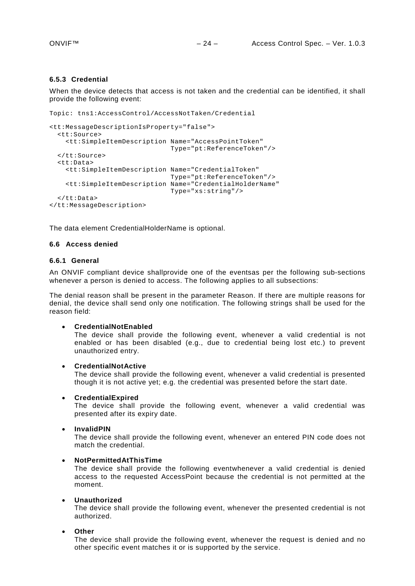# <span id="page-23-0"></span>**6.5.3 Credential**

When the device detects that access is not taken and the credential can be identified, it shall provide the following event:

```
Topic: tns1:AccessControl/AccessNotTaken/Credential
<tt:MessageDescriptionIsProperty="false">
   <tt:Source>
     <tt:SimpleItemDescription Name="AccessPointToken"
                               Type="pt:ReferenceToken"/>
   </tt:Source>
   <tt:Data>
     <tt:SimpleItemDescription Name="CredentialToken"
                               Type="pt:ReferenceToken"/>
     <tt:SimpleItemDescription Name="CredentialHolderName"
                                Type="xs:string"/>
   </tt:Data>
</tt:MessageDescription>
```
The data element CredentialHolderName is optional.

#### <span id="page-23-1"></span>**6.6 Access denied**

#### <span id="page-23-2"></span>**6.6.1 General**

An ONVIF compliant device shallprovide one of the eventsas per the following sub-sections whenever a person is denied to access. The following applies to all subsections:

The denial reason shall be present in the parameter Reason. If there are multiple reasons for denial, the device shall send only one notification. The following strings shall be used for the reason field:

#### • **CredentialNotEnabled**

The device shall provide the following event, whenever a valid credential is not enabled or has been disabled (e.g., due to credential being lost etc.) to prevent unauthorized entry.

#### • **CredentialNotActive**

The device shall provide the following event, whenever a valid credential is presented though it is not active yet; e.g. the credential was presented before the start date.

#### • **CredentialExpired**

The device shall provide the following event, whenever a valid credential was presented after its expiry date.

• **InvalidPIN**

The device shall provide the following event, whenever an entered PIN code does not match the credential.

#### • **NotPermittedAtThisTime**

The device shall provide the following eventwhenever a valid credential is denied access to the requested AccessPoint because the credential is not permitted at the moment.

#### • **Unauthorized**

The device shall provide the following event, whenever the presented credential is not authorized.

#### • **Other**

The device shall provide the following event, whenever the request is denied and no other specific event matches it or is supported by the service.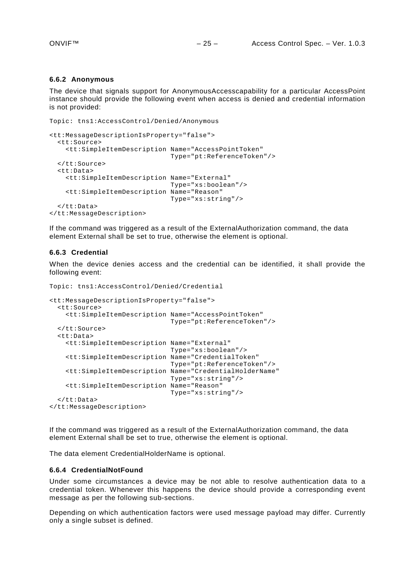#### <span id="page-24-0"></span>**6.6.2 Anonymous**

The device that signals support for AnonymousAccesscapability for a particular AccessPoint instance should provide the following event when access is denied and credential information is not provided:

```
Topic: tns1:AccessControl/Denied/Anonymous
```

```
<tt:MessageDescriptionIsProperty="false">
  <tt:Source>
    <tt:SimpleItemDescription Name="AccessPointToken"
                                Type="pt:ReferenceToken"/>
   </tt:Source>
   <tt:Data>
     <tt:SimpleItemDescription Name="External"
                                Type="xs:boolean"/>
     <tt:SimpleItemDescription Name="Reason"
                               Type="xs:string"/>
   </tt:Data>
</tt:MessageDescription>
```
If the command was triggered as a result of the ExternalAuthorization command, the data element External shall be set to true, otherwise the element is optional.

#### <span id="page-24-1"></span>**6.6.3 Credential**

When the device denies access and the credential can be identified, it shall provide the following event:

```
Topic: tns1:AccessControl/Denied/Credential
<tt:MessageDescriptionIsProperty="false">
   <tt:Source>
     <tt:SimpleItemDescription Name="AccessPointToken"
                                Type="pt:ReferenceToken"/>
   </tt:Source>
   <tt:Data>
     <tt:SimpleItemDescription Name="External"
                                Type="xs:boolean"/>
     <tt:SimpleItemDescription Name="CredentialToken"
                                Type="pt:ReferenceToken"/>
     <tt:SimpleItemDescription Name="CredentialHolderName"
                                Type="xs:string"/>
     <tt:SimpleItemDescription Name="Reason"
                                Type="xs:string"/>
  \langlett:Data>
</tt:MessageDescription>
```
If the command was triggered as a result of the ExternalAuthorization command, the data element External shall be set to true, otherwise the element is optional.

The data element CredentialHolderName is optional.

#### <span id="page-24-2"></span>**6.6.4 CredentialNotFound**

Under some circumstances a device may be not able to resolve authentication data to a credential token. Whenever this happens the device should provide a corresponding event message as per the following sub-sections.

Depending on which authentication factors were used message payload may differ. Currently only a single subset is defined.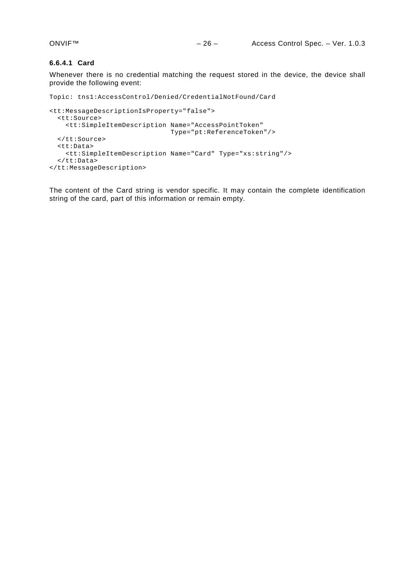#### **6.6.4.1 Card**

Whenever there is no credential matching the request stored in the device, the device shall provide the following event:

```
Topic: tns1:AccessControl/Denied/CredentialNotFound/Card
```

```
<tt:MessageDescriptionIsProperty="false">
  <tt:Source>
    <tt:SimpleItemDescription Name="AccessPointToken"
                                Type="pt:ReferenceToken"/>
   </tt:Source>
   <tt:Data>
    <tt:SimpleItemDescription Name="Card" Type="xs:string"/>
   </tt:Data>
</tt:MessageDescription>
```
The content of the Card string is vendor specific. It may contain the complete identification string of the card, part of this information or remain empty.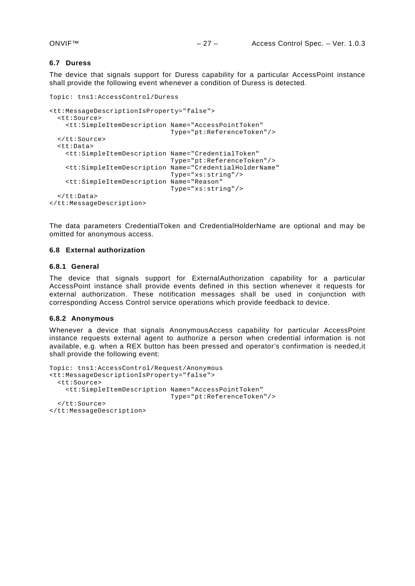#### <span id="page-26-0"></span>**6.7 Duress**

The device that signals support for Duress capability for a particular AccessPoint instance shall provide the following event whenever a condition of Duress is detected.

```
Topic: tns1:AccessControl/Duress 
<tt:MessageDescriptionIsProperty="false">
   <tt:Source>
     <tt:SimpleItemDescription Name="AccessPointToken"
                                Type="pt:ReferenceToken"/>
   </tt:Source>
   <tt:Data>
     <tt:SimpleItemDescription Name="CredentialToken"
                                Type="pt:ReferenceToken"/>
     <tt:SimpleItemDescription Name="CredentialHolderName"
                                Type="xs:string"/>
     <tt:SimpleItemDescription Name="Reason"
                                Type="xs:string"/>
   </tt:Data>
</tt:MessageDescription>
```
The data parameters CredentialToken and CredentialHolderName are optional and may be omitted for anonymous access.

#### <span id="page-26-1"></span>**6.8 External authorization**

#### <span id="page-26-2"></span>**6.8.1 General**

The device that signals support for ExternalAuthorization capability for a particular AccessPoint instance shall provide events defined in this section whenever it requests for external authorization. These notification messages shall be used in conjunction with corresponding Access Control service operations which provide feedback to device.

#### <span id="page-26-3"></span>**6.8.2 Anonymous**

Whenever a device that signals AnonymousAccess capability for particular AccessPoint instance requests external agent to authorize a person when credential information is not available, e.g. when a REX button has been pressed and operator's confirmation is needed,it shall provide the following event:

```
Topic: tns1:AccessControl/Request/Anonymous 
<tt:MessageDescriptionIsProperty="false">
   <tt:Source>
     <tt:SimpleItemDescription Name="AccessPointToken"
                               Type="pt:ReferenceToken"/>
   </tt:Source>
</tt:MessageDescription>
```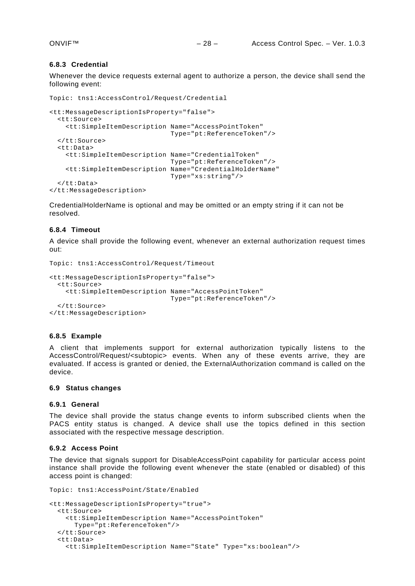#### <span id="page-27-0"></span>**6.8.3 Credential**

Whenever the device requests external agent to authorize a person, the device shall send the following event:

```
Topic: tns1:AccessControl/Request/Credential 
<tt:MessageDescriptionIsProperty="false">
   <tt:Source>
     <tt:SimpleItemDescription Name="AccessPointToken"
                                Type="pt:ReferenceToken"/>
   </tt:Source>
   <tt:Data>
     <tt:SimpleItemDescription Name="CredentialToken"
                                Type="pt:ReferenceToken"/>
     <tt:SimpleItemDescription Name="CredentialHolderName"
                                Type="xs:string"/>
   </tt:Data>
</tt:MessageDescription>
```
CredentialHolderName is optional and may be omitted or an empty string if it can not be resolved.

# <span id="page-27-1"></span>**6.8.4 Timeout**

A device shall provide the following event, whenever an external authorization request times out:

```
Topic: tns1:AccessControl/Request/Timeout
```

```
<tt:MessageDescriptionIsProperty="false">
   <tt:Source>
     <tt:SimpleItemDescription Name="AccessPointToken"
                               Type="pt:ReferenceToken"/>
  </tt:Source>
</tt:MessageDescription>
```
#### <span id="page-27-2"></span>**6.8.5 Example**

A client that implements support for external authorization typically listens to the AccessControl/Request/<subtopic> events. When any of these events arrive, they are evaluated. If access is granted or denied, the ExternalAuthorization command is called on the device.

#### <span id="page-27-3"></span>**6.9 Status changes**

#### **6.9.1 General**

The device shall provide the status change events to inform subscribed clients when the PACS entity status is changed. A device shall use the topics defined in this section associated with the respective message description.

#### <span id="page-27-4"></span>**6.9.2 Access Point**

The device that signals support for DisableAccessPoint capability for particular access point instance shall provide the following event whenever the state (enabled or disabled) of this access point is changed:

```
Topic: tns1:AccessPoint/State/Enabled
<tt:MessageDescriptionIsProperty="true">
   <tt:Source>
     <tt:SimpleItemDescription Name="AccessPointToken"
      Type="pt:ReferenceToken"/>
   </tt:Source>
   <tt:Data>
     <tt:SimpleItemDescription Name="State" Type="xs:boolean"/>
```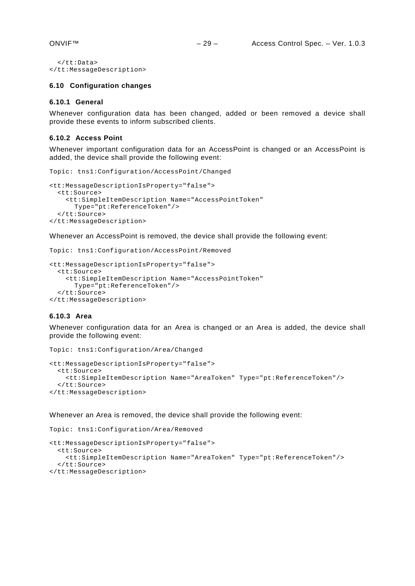```
 </tt:Data>
</tt:MessageDescription>
```
#### <span id="page-28-0"></span>**6.10 Configuration changes**

#### **6.10.1 General**

Whenever configuration data has been changed, added or been removed a device shall provide these events to inform subscribed clients.

# <span id="page-28-1"></span>**6.10.2 Access Point**

Whenever important configuration data for an AccessPoint is changed or an AccessPoint is added, the device shall provide the following event:

```
Topic: tns1:Configuration/AccessPoint/Changed
```

```
<tt:MessageDescriptionIsProperty="false">
  <tt:Source>
    <tt:SimpleItemDescription Name="AccessPointToken" 
      Type="pt:ReferenceToken"/>
   </tt:Source>
</tt:MessageDescription>
```
Whenever an AccessPoint is removed, the device shall provide the following event:

```
Topic: tns1:Configuration/AccessPoint/Removed
```

```
<tt:MessageDescriptionIsProperty="false">
  <tt:Source>
     <tt:SimpleItemDescription Name="AccessPointToken" 
      Type="pt:ReferenceToken"/>
   </tt:Source>
</tt:MessageDescription>
```
# <span id="page-28-2"></span>**6.10.3 Area**

Whenever configuration data for an Area is changed or an Area is added, the device shall provide the following event:

```
Topic: tns1:Configuration/Area/Changed
<tt:MessageDescriptionIsProperty="false">
   <tt:Source>
     <tt:SimpleItemDescription Name="AreaToken" Type="pt:ReferenceToken"/>
   </tt:Source>
</tt:MessageDescription>
```
Whenever an Area is removed, the device shall provide the following event:

Topic: tns1:Configuration/Area/Removed

```
<tt:MessageDescriptionIsProperty="false">
   <tt:Source>
     <tt:SimpleItemDescription Name="AreaToken" Type="pt:ReferenceToken"/>
   </tt:Source>
</tt:MessageDescription>
```